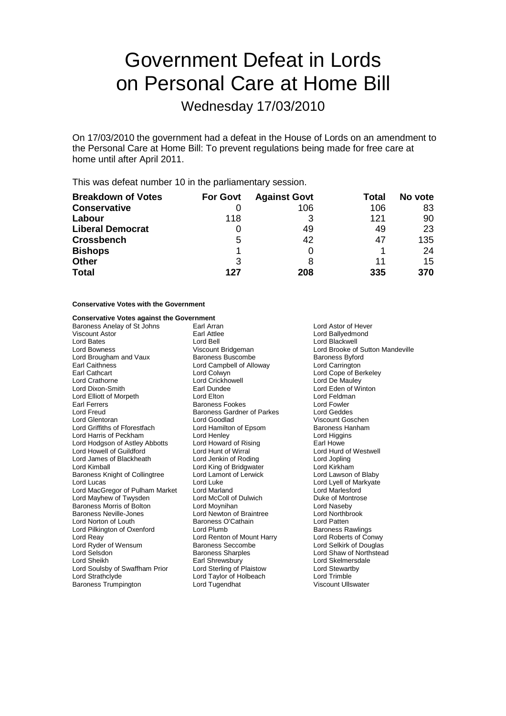# Government Defeat in Lords on Personal Care at Home Bill

Wednesday 17/03/2010

On 17/03/2010 the government had a defeat in the House of Lords on an amendment to the Personal Care at Home Bill: To prevent regulations being made for free care at home until after April 2011.

This was defeat number 10 in the parliamentary session.

| <b>Breakdown of Votes</b> | <b>For Govt</b> | <b>Against Govt</b> | Total | No vote |
|---------------------------|-----------------|---------------------|-------|---------|
| <b>Conservative</b>       |                 | 106                 | 106   | 83      |
| Labour                    | 118             | 3                   | 121   | 90      |
| <b>Liberal Democrat</b>   |                 | 49                  | 49    | 23      |
| <b>Crossbench</b>         | 5               | 42                  | 47    | 135     |
| <b>Bishops</b>            |                 |                     |       | 24      |
| <b>Other</b>              | 3               | 8                   | 11    | 15      |
| <b>Total</b>              | 127             | 208                 | 335   | 370     |

#### **Conservative Votes with the Government**

### **Conservative Votes against the Government**

Viscount Astor **Carl Attlee** Earl Attlee **Constant Action** Lord Ballyedmond<br>
Lord Bates **Constant Lord Ballyedmond**<br>
Lord Backwell Lord Bates Lord Bell Lord Blackwell Lord Brougham and Vaux Baroness Buscombe Baroness Byford<br>
Earl Caithness Campbell of Alloway Eord Carrington Earl Caithness **Lord Campbell of Alloway**<br> **Earl Cathcart** Lord Colwyn Earl Cathcart Lord Colwyn Lord Colwyn Lord Cone of Berkeley<br>
Lord Crathorne Lord Crickhowell Lord Colwyn Lord Creathorne Lord Crickhowell Lord Crathorne **Lord Crickhowell** Lord Crickhowell **Lord Crickhowell** Lord De Mauley<br>
Lord Dixon-Smith **Lord Lord Example Lord Example 2016** Lord Elliott of Morpeth Lord Elton Lord Elton Lord Experience Lord Feldman<br>Earl Ferrers Lord Envier Lord Freud **Baroness Gardner of Parkes**<br> **Lord Glentoran**<br>
Lord Goodlad Lord Griffiths of Fforestfach Lord Hamilton Cord Hamilton Baroness Hannies<br>
Lord Henley Lord Harris of Peckham Lord Henley Lord Higgins Lord Hodgson of Astley Abbotts Lord Howard of Rising Earl Howe<br>
Lord Howard Lord Hunt of Wirral Lord Hunt of Wirnel Lord Hund of Westwell Lord Howell of Guildford Lord Hunt of Wirral<br>
Lord James of Blackheath Lord Jenkin of Roding Lord James of Blackheath Lord Jenkin of Roding Lord Jopling Lord Kimball Lord King of Bridgwater Cord Kirkham<br>
Baroness Knight of Collingtree Cord Lamont of Lerwick Lord Lawson of Blaby Baroness Knight of Collingtree Lord Lamont Lord Lamont Collingtree Lord Luke Lord MacGregor of Pulham Market Lord Marland Lord Marlesford Lord Mayhew of Twysden Lord McColl of Dulwich Duke of Montrose<br>
Baroness Morris of Bolton Lord Moynihan Lord Duke of Maseby Baroness Morris of Bolton **Lord Lord Moynihan**<br>
Baroness Neville-Jones **Lord Lord Newton of Braintree Lord Northbrook** Baroness Neville-Jones Lord Newton of Braintree Lord Northbrook Lord Northbrook Lord Patten<br>
Lord Norton of Louth Baroness O'Cathain Lord Patten Lord Norton of Louth **Baroness O'Cathain**<br>
Lord Pilkington of Oxenford Lord Plumb<br>
Lord Pilkington of Oxenford Lord Plumb Lord Pilkington of Oxenford Lord Plumb Lord Pumb Baroness Rawlings<br>
Lord Reav Lord Roberts of Conwy Lord Ryder of Wensum Lord Selsdon **Baroness Sharples** Lord Shaw of Northstead<br>
Lord Sheikh **Baroness Sharples** Lord Skelmersdale Lord Soulsby of Swaffham Prior Lord Strathclyde Lord Taylor of Holbeach Lord Trimble Baroness Trumpington Lord Tugendhat Viscount Ullswater

Baroness Anelay of St Johns Earl Arran and Earl Arran Lord Astor of Hever<br>
Viscount Astor Carl Attlee Carl Attlee Corpus Carl Attlee Corpus Corpus Carl Attlee Earl Dundee **Lord Eden of Winton**<br>
Lord Elton<br>
Lord Feldman Earoness Fookes **Exercise Early Ferrers Baroness Gardner of Parkes** Lord Geddes Lord Goodlad Viscount Goschen<br>
Lord Hamilton of Epsom Baroness Hanham Lord Renton of Mount Harry Lord Roberts of Conwy<br>Baroness Seccombe Lord Selkirk of Douglas Earl Shrewsbury **Lord Skelmersdale**<br>
Lord Sterling of Plaistow **Lord Stewartby** 

Viscount Bridgeman Lord Brooke of Sutton Mandeville<br>
Baroness Buscombe<br>
Baroness Byford Lord Lyell of Markyate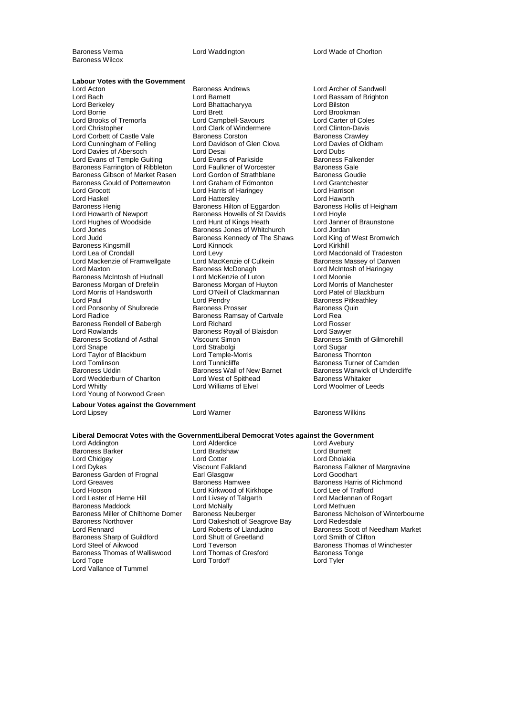Baroness Wilcox

Baroness Verma Lord Waddington Lord Wade of Chorlton

### **Labour Votes with the Government**<br>Lord Acton

Lord Bach Lord Barnett Lord Bassam of Brighton Lord Berkeley Lord Bhattacharyya Lord Bilston Lord Borrie Lord Brett Lord Brett Lord Brookman<br>
Lord Brooks of Tremorfa Lord Campbell-Savours Lord Carter of Coles Lord Christopher **Lord Clark of Windermere** Lord Clark Corpus Lord Clinton-Davis<br>
Lord Corbett of Castle Vale **Baroness Corston** Baroness Crawley Lord Corbett of Castle Vale **Baroness Corston** Baroness Cawley<br>
Lord Cunningham of Felling **Baroness Corston Clean Clova** Lord Davies of Oldham Lord Davies of Abersoch **Lord Desai** Lord Desai **Lord Dubs**<br>
Lord Evans of Temple Guiting Lord Evans of Parkside **Communist Baroness Falkender** Lord Evans of Temple Guiting Lord Evans of Parkside Baroness Falkenders Falkenders Falkenders Cale<br>Baroness Farrington of Ribbleton Lord Faulkner of Worcester Baroness Gale Baroness Farrington of Ribbleton Lord Faulkner of Worcester Baroness Gale<br>Baroness Gibson of Market Rasen Lord Gordon of Strathblane Baroness Goudie Baroness Gibson of Market Rasen Lord Gordon of Strathblane Baroness Goudie<br>Baroness Gould of Potternewton Lord Graham of Edmonton Lord Grantchester Baroness Gould of Potternewton Lord Graham of Edmonton Lord Grantche<br>
Lord Grocott Lord Harris of Haringey<br>
Lord Grocott Lord Harris of Haringey Lord Haskel Lord Hattersley Lord Hattersley Lord Haworth<br>
Baroness Henig Baroness Hilton of Eggardon Baroness Hollis of Heigham Lord Howarth of Newport **Baroness Howells of St Davids** Lord Hoyle<br>
Lord Hunt of Kings Heath Lord Janne Lord Hughes of Woodside Lord Hunt of Kings Heath Lord Janner of Braunstone Lord Jones **Baroness Jones of Whitchurch** Lord Jordan<br>
Lord Judd **Baroness Kennedy of The Shaws** Lord King of West Bromwich Baroness Kingsmill<br>Lord Lea of Crondall Lord Mackenzie of Framwellgate Lord Maxton **Lord Maxton**<br>
Baroness McIntosh of Hudnall Lord McKenzie of Luton<br>
Lord Moonie Lord McChange Lord McKenzie of Luton Baroness McIntosh of Hudnall Lord McKenzie of Luton<br>
Baroness Morgan of Drefelin Baroness Morgan of Huyton Lord Morris of Manchester Baroness Morgan of Drefelin Baroness Morgan of Huyton Lord Morris of Manchest<br>
Lord Morris of Handsworth Lord O'Neill of Clackmannan Lord Patel of Blackburn Lord Paul Lord Pendry Cord Pendry Baroness Pitkeathley<br>
Lord Ponsonby of Shulbrede Baroness Prosser Baroness Quin Lord Ponsonby of Shulbrede Baroness Prosser Baroness<br>Lord Radice Baroness Ramsay of Cartyale Lord Rea Baroness Rendell of Babergh Lord Richard Cord Richard Lord Rosser<br>
Lord Rowlands Cord Cawyer Baroness Royall of Blaisdon Lord Sawyer Lord Rowlands **Community Communist Communist Communist Communist Communist Communist Communist Communist Communist Communist Communist Communist Communist Communist Communist Communist Communist Communist Communist Communi** Baroness Scotland of Asthal Viscount Simon Baroness Smith of Gilmorehill<br>
Lord Snape Lord Strabolgi Lord Sugar Lord Taylor of Blackburn Lord Temple-Morris Baroness Thornton Lord Tomlinson **Lord Tunnicliffe Baroness Turner of Camden**<br>
Baroness Uddin **Baroness Wall of New Barnet** Baroness Warwick of Underg Lord Wedderburn of Charlton Lord West of Spithead<br>
Lord Whitty Lord Williams of Elvel Lord Young of Norwood Green

Examples Andrews **Lord Archer of Sandwell**<br>
Lord Barnett<br>
Lord Bassam of Brighton Lord Campbell-Savours Lord Carter of Cole<br>
Lord Clark of Windermere Lord Clinton-Davis Lord Davidson of Glen Clova Lord Harris of Haringey Baroness Hilton of Eggardon Baroness Kennedy of The Shaws Lord King of Lord King of The Shaws Broman Broman Broman Broman Broman Broman Bro Lord Levy<br>
Lord Macdonald of Tradeston<br>
Baroness Massey of Darwen Lord O'Neill of Clackmannan Baroness Ramsay of Cartvale **Lord Rea**<br>
Lord Richard **Lord Rosser** Lord Strabolgi Baroness Wall of New Barnet<br>
Baroness Warwick of Undercliffe<br>
Lord West of Spithead<br>
Baroness Whitaker

Lord Woolmer of Leeds

#### **Labour Votes against the Government** Lord Lipsey Lord Warner Baroness Wilkins

### **Liberal Democrat Votes with the GovernmentLiberal Democrat Votes against the Government**

Lord Addington **Lord Alderdice** Lord Avebury<br> **Example 2** Lord Barchess Barker Lord Burnett<br>
Lord Burnett Baroness Barker Lord Bradshaw Lord Burnett Lord Chidgey Lord Cotter Lord Cotter Lord Dykes Niscount Falkland Baroness Garden of Frognal **Earl Glasgow**<br>
Lord Greaves **Cooking Cooking Cooking**<br>
Baroness Hamwee Lord Greaves **Exercise State Baroness Hamwee** Baroness Harris of Richmond<br>
Lord Hooson **Baroness Harris of Allen Baroness Harris of Trafford**<br>
Lord Hooson Lord Hooson<br>
Lord Lester of Herne Hill<br>
Lord Livsey of Talgarth Baroness Maddock Lord McNally<br>Baroness Miller of Chilthorne Domer Baroness Neuberger Baroness Northover Lord Oakeshott of Seagrove Bay Lord Redesdale Baroness Sharp of Guildford Lord Shutt of Greetland Lord Shutt of Greetland Lord Teverson Baroness Thomas of Walliswood Lord Thomas of Gresford Baroness Tonge<br>
Lord Tope Lord Tordoff Lord Tyler Lord Tope Lord Tordoff Lord Vallance of Tummel

Lord Livsey of Talgarth Lord Maclennan of Rogart<br>
Lord McNally<br>
Lord Methuen

Viscount Falkland Baroness Falkner of Margravine<br>
Earl Glasgow<br>
Lord Goodhart Baroness Nicholson of Winterbourne Lord Roberts of Llandudno<br>
Lord Shutt of Greetland<br>
Lord Smith of Clifton Lord Teverson **Baroness Thomas of Winchester**<br>
Lord Thomas of Gresford **Baroness Tonge**